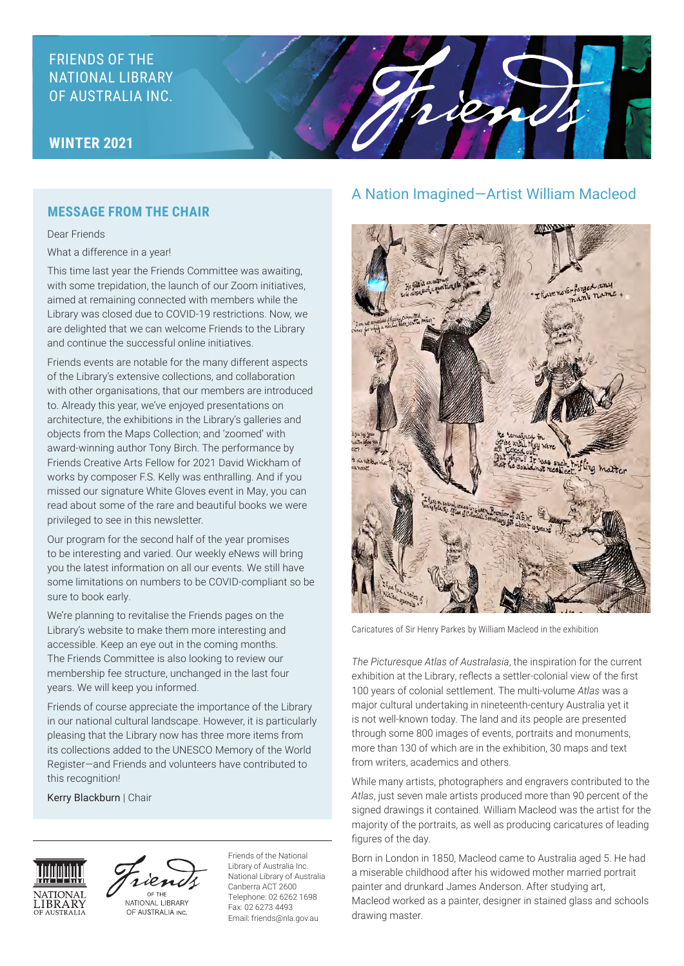# FRIENDS OF THE NATIONAL LIBRARY OF AUSTRALIA INC.

## **WINTER 2021**

## **MESSAGE FROM THE CHAIR**

Dear Friends What a difference in a year!

This time last year the Friends Committee was awaiting, with some trepidation, the launch of our Zoom initiatives, aimed at remaining connected with members while the Library was closed due to COVID-19 restrictions. Now, we are delighted that we can welcome Friends to the Library and continue the successful online initiatives.

Friends events are notable for the many different aspects of the Library's extensive collections, and collaboration with other organisations, that our members are introduced to. Already this year, we've enjoyed presentations on architecture, the exhibitions in the Library's galleries and objects from the Maps Collection; and 'zoomed' with award-winning author Tony Birch. The performance by Friends Creative Arts Fellow for 2021 David Wickham of works by composer F.S. Kelly was enthralling. And if you missed our signature White Gloves event in May, you can read about some of the rare and beautiful books we were privileged to see in this newsletter.

Our program for the second half of the year promises to be interesting and varied. Our weekly eNews will bring you the latest information on all our events. We still have some limitations on numbers to be COVID-compliant so be sure to book early.

We're planning to revitalise the Friends pages on the Library's website to make them more interesting and accessible. Keep an eye out in the coming months. The Friends Committee is also looking to review our membership fee structure, unchanged in the last four years. We will keep you informed.

Friends of course appreciate the importance of the Library in our national cultural landscape. However, it is particularly pleasing that the Library now has three more items from its collections added to the UNESCO Memory of the World Register—and Friends and volunteers have contributed to this recognition!

Kerry Blackburn | Chair





OF AUSTRALIA INC.

Friends of the National Library of Australia Inc. National Library of Australia Canberra ACT 2600 Telephone: 02 6262 1698 Fax: 02 6273 4493 Email: friends@nla.gov.au

## A Nation Imagined—Artist William Macleod

rien



Caricatures of Sir Henry Parkes by William Macleod in the exhibition

*The Picturesque Atlas of Australasia*, the inspiration for the current exhibition at the Library, reflects a settler-colonial view of the first 100 years of colonial settlement. The multi-volume *Atlas* was a major cultural undertaking in nineteenth-century Australia yet it is not well-known today. The land and its people are presented through some 800 images of events, portraits and monuments, more than 130 of which are in the exhibition, 30 maps and text from writers, academics and others.

While many artists, photographers and engravers contributed to the *Atlas*, just seven male artists produced more than 90 percent of the signed drawings it contained. William Macleod was the artist for the majority of the portraits, as well as producing caricatures of leading figures of the day.

Born in London in 1850, Macleod came to Australia aged 5. He had a miserable childhood after his widowed mother married portrait painter and drunkard James Anderson. After studying art, Macleod worked as a painter, designer in stained glass and schools drawing master.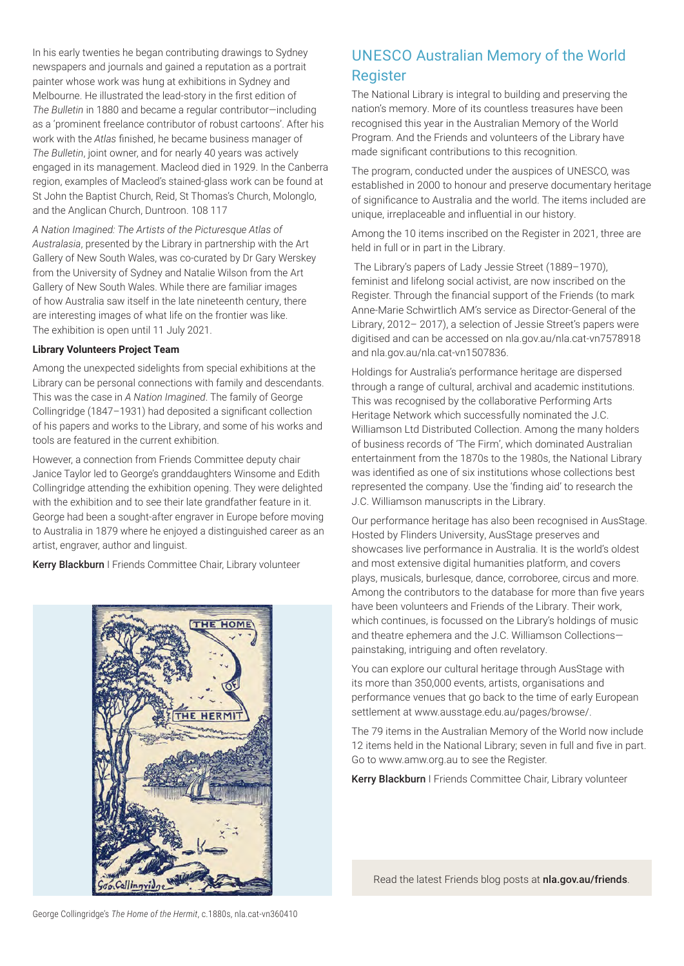In his early twenties he began contributing drawings to Sydney newspapers and journals and gained a reputation as a portrait painter whose work was hung at exhibitions in Sydney and Melbourne. He illustrated the lead-story in the first edition of *The Bulletin* in 1880 and became a regular contributor—including as a 'prominent freelance contributor of robust cartoons'. After his work with the *Atlas* finished, he became business manager of *The Bulletin*, joint owner, and for nearly 40 years was actively engaged in its management. Macleod died in 1929. In the Canberra region, examples of Macleod's stained-glass work can be found at St John the Baptist Church, Reid, St Thomas's Church, Molonglo, and the Anglican Church, Duntroon. 108 117

*A Nation Imagined: The Artists of the Picturesque Atlas of Australasia*, presented by the Library in partnership with the Art Gallery of New South Wales, was co-curated by Dr Gary Werskey from the University of Sydney and Natalie Wilson from the Art Gallery of New South Wales. While there are familiar images of how Australia saw itself in the late nineteenth century, there are interesting images of what life on the frontier was like. The exhibition is open until 11 July 2021.

#### **Library Volunteers Project Team**

Among the unexpected sidelights from special exhibitions at the Library can be personal connections with family and descendants. This was the case in *A Nation Imagined*. The family of George Collingridge (1847–1931) had deposited a significant collection of his papers and works to the Library, and some of his works and tools are featured in the current exhibition.

However, a connection from Friends Committee deputy chair Janice Taylor led to George's granddaughters Winsome and Edith Collingridge attending the exhibition opening. They were delighted with the exhibition and to see their late grandfather feature in it. George had been a sought-after engraver in Europe before moving to Australia in 1879 where he enjoyed a distinguished career as an artist, engraver, author and linguist.

Kerry Blackburn I Friends Committee Chair, Library volunteer



# UNESCO Australian Memory of the World Register

The National Library is integral to building and preserving the nation's memory. More of its countless treasures have been recognised this year in the Australian Memory of the World Program. And the Friends and volunteers of the Library have made significant contributions to this recognition.

The program, conducted under the auspices of UNESCO, was established in 2000 to honour and preserve documentary heritage of significance to Australia and the world. The items included are unique, irreplaceable and influential in our history.

Among the 10 items inscribed on the Register in 2021, three are held in full or in part in the Library.

 The Library's papers of Lady Jessie Street (1889–1970), feminist and lifelong social activist, are now inscribed on the Register. Through the financial support of the Friends (to mark Anne-Marie Schwirtlich AM's service as Director-General of the Library, 2012– 2017), a selection of Jessie Street's papers were digitised and can be accessed on nla.gov.au/nla.cat-vn7578918 and nla.gov.au/nla.cat-vn1507836.

Holdings for Australia's performance heritage are dispersed through a range of cultural, archival and academic institutions. This was recognised by the collaborative Performing Arts Heritage Network which successfully nominated the J.C. Williamson Ltd Distributed Collection. Among the many holders of business records of 'The Firm', which dominated Australian entertainment from the 1870s to the 1980s, the National Library was identified as one of six institutions whose collections best represented the company. Use the 'finding aid' to research the J.C. Williamson manuscripts in the Library.

Our performance heritage has also been recognised in AusStage. Hosted by Flinders University, AusStage preserves and showcases live performance in Australia. It is the world's oldest and most extensive digital humanities platform, and covers plays, musicals, burlesque, dance, corroboree, circus and more. Among the contributors to the database for more than five years have been volunteers and Friends of the Library. Their work, which continues, is focussed on the Library's holdings of music and theatre ephemera and the J.C. Williamson Collections painstaking, intriguing and often revelatory.

You can explore our cultural heritage through AusStage with its more than 350,000 events, artists, organisations and performance venues that go back to the time of early European settlement at www.ausstage.edu.au/pages/browse/.

The 79 items in the Australian Memory of the World now include 12 items held in the National Library; seven in full and five in part. Go to www.amw.org.au to see the Register.

Kerry Blackburn I Friends Committee Chair, Library volunteer

Read the latest Friends blog posts at nla.gov.au/friends.

George Collingridge's *The Home of the Hermit*, c.1880s, nla.cat-vn360410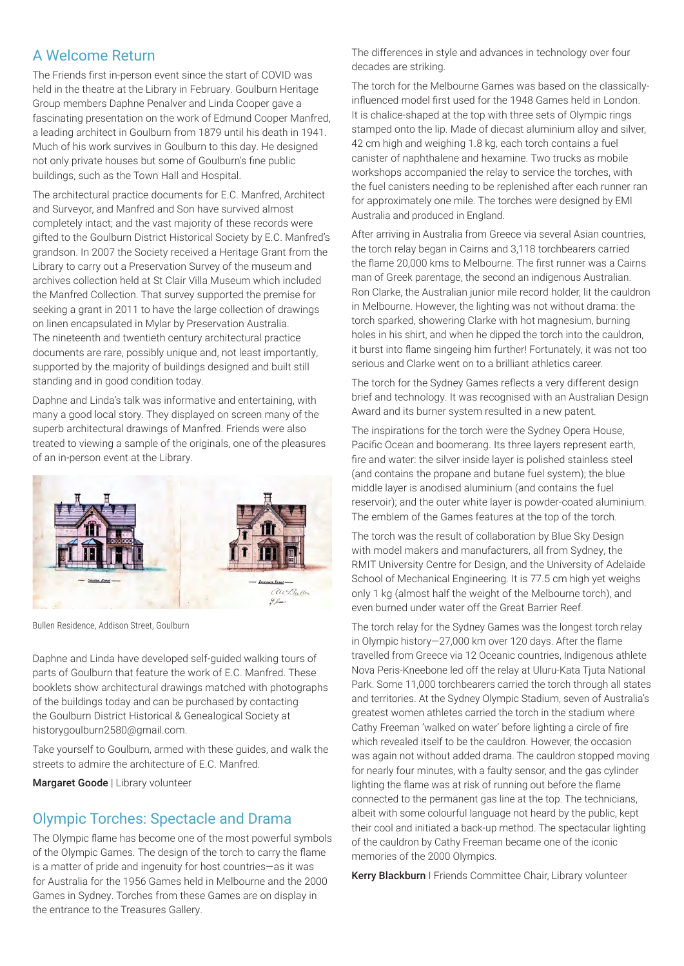# A Welcome Return

The Friends first in-person event since the start of COVID was held in the theatre at the Library in February. Goulburn Heritage Group members Daphne Penalver and Linda Cooper gave a fascinating presentation on the work of Edmund Cooper Manfred, a leading architect in Goulburn from 1879 until his death in 1941. Much of his work survives in Goulburn to this day. He designed not only private houses but some of Goulburn's fine public buildings, such as the Town Hall and Hospital.

The architectural practice documents for E.C. Manfred, Architect and Surveyor, and Manfred and Son have survived almost completely intact; and the vast majority of these records were gifted to the Goulburn District Historical Society by E.C. Manfred's grandson. In 2007 the Society received a Heritage Grant from the Library to carry out a Preservation Survey of the museum and archives collection held at St Clair Villa Museum which included the Manfred Collection. That survey supported the premise for seeking a grant in 2011 to have the large collection of drawings on linen encapsulated in Mylar by Preservation Australia. The nineteenth and twentieth century architectural practice documents are rare, possibly unique and, not least importantly, supported by the majority of buildings designed and built still standing and in good condition today.

Daphne and Linda's talk was informative and entertaining, with many a good local story. They displayed on screen many of the superb architectural drawings of Manfred. Friends were also treated to viewing a sample of the originals, one of the pleasures of an in-person event at the Library.



Bullen Residence, Addison Street, Goulburn

Daphne and Linda have developed self-guided walking tours of parts of Goulburn that feature the work of E.C. Manfred. These booklets show architectural drawings matched with photographs of the buildings today and can be purchased by contacting the Goulburn District Historical & Genealogical Society at historygoulburn2580@gmail.com.

Take yourself to Goulburn, armed with these guides, and walk the streets to admire the architecture of E.C. Manfred.

Margaret Goode | Library volunteer

## Olympic Torches: Spectacle and Drama

The Olympic flame has become one of the most powerful symbols of the Olympic Games. The design of the torch to carry the flame is a matter of pride and ingenuity for host countries—as it was for Australia for the 1956 Games held in Melbourne and the 2000 Games in Sydney. Torches from these Games are on display in the entrance to the Treasures Gallery.

The differences in style and advances in technology over four decades are striking.

The torch for the Melbourne Games was based on the classicallyinfluenced model first used for the 1948 Games held in London. It is chalice-shaped at the top with three sets of Olympic rings stamped onto the lip. Made of diecast aluminium alloy and silver, 42 cm high and weighing 1.8 kg, each torch contains a fuel canister of naphthalene and hexamine. Two trucks as mobile workshops accompanied the relay to service the torches, with the fuel canisters needing to be replenished after each runner ran for approximately one mile. The torches were designed by EMI Australia and produced in England.

After arriving in Australia from Greece via several Asian countries, the torch relay began in Cairns and 3,118 torchbearers carried the flame 20,000 kms to Melbourne. The first runner was a Cairns man of Greek parentage, the second an indigenous Australian. Ron Clarke, the Australian junior mile record holder, lit the cauldron in Melbourne. However, the lighting was not without drama: the torch sparked, showering Clarke with hot magnesium, burning holes in his shirt, and when he dipped the torch into the cauldron, it burst into flame singeing him further! Fortunately, it was not too serious and Clarke went on to a brilliant athletics career.

The torch for the Sydney Games reflects a very different design brief and technology. It was recognised with an Australian Design Award and its burner system resulted in a new patent.

The inspirations for the torch were the Sydney Opera House, Pacific Ocean and boomerang. Its three layers represent earth, fire and water: the silver inside layer is polished stainless steel (and contains the propane and butane fuel system); the blue middle layer is anodised aluminium (and contains the fuel reservoir); and the outer white layer is powder-coated aluminium. The emblem of the Games features at the top of the torch.

The torch was the result of collaboration by Blue Sky Design with model makers and manufacturers, all from Sydney, the RMIT University Centre for Design, and the University of Adelaide School of Mechanical Engineering. It is 77.5 cm high yet weighs only 1 kg (almost half the weight of the Melbourne torch), and even burned under water off the Great Barrier Reef.

The torch relay for the Sydney Games was the longest torch relay in Olympic history—27,000 km over 120 days. After the flame travelled from Greece via 12 Oceanic countries, Indigenous athlete Nova Peris-Kneebone led off the relay at Uluru-Kata Tjuta National Park. Some 11,000 torchbearers carried the torch through all states and territories. At the Sydney Olympic Stadium, seven of Australia's greatest women athletes carried the torch in the stadium where Cathy Freeman 'walked on water' before lighting a circle of fire which revealed itself to be the cauldron. However, the occasion was again not without added drama. The cauldron stopped moving for nearly four minutes, with a faulty sensor, and the gas cylinder lighting the flame was at risk of running out before the flame connected to the permanent gas line at the top. The technicians, albeit with some colourful language not heard by the public, kept their cool and initiated a back-up method. The spectacular lighting of the cauldron by Cathy Freeman became one of the iconic memories of the 2000 Olympics.

Kerry Blackburn I Friends Committee Chair, Library volunteer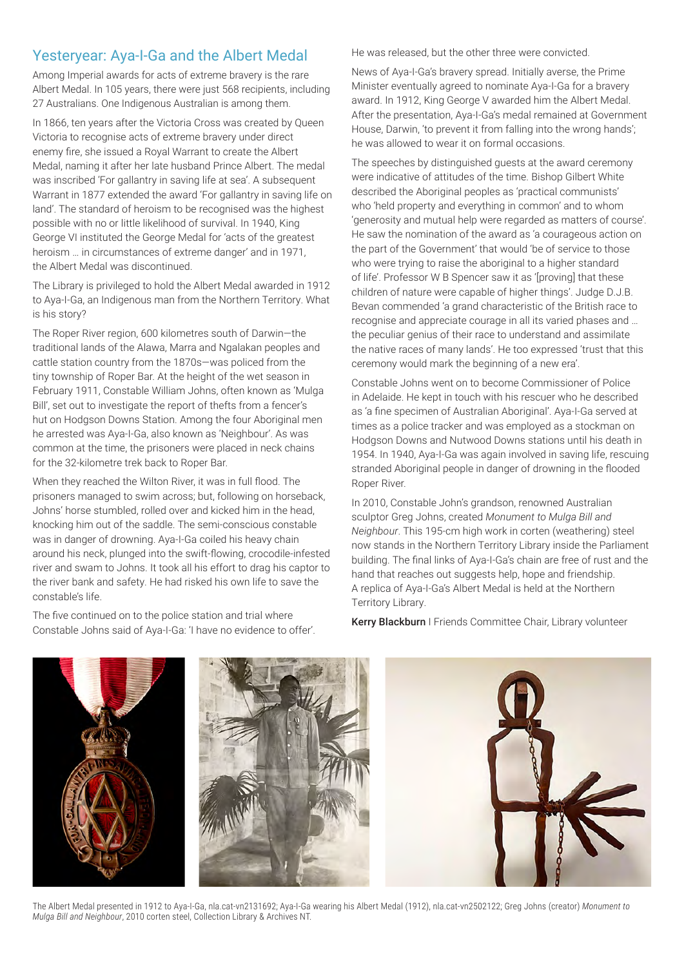# Yesteryear: Aya-I-Ga and the Albert Medal

Among Imperial awards for acts of extreme bravery is the rare Albert Medal. In 105 years, there were just 568 recipients, including 27 Australians. One Indigenous Australian is among them.

In 1866, ten years after the Victoria Cross was created by Queen Victoria to recognise acts of extreme bravery under direct enemy fire, she issued a Royal Warrant to create the Albert Medal, naming it after her late husband Prince Albert. The medal was inscribed 'For gallantry in saving life at sea'. A subsequent Warrant in 1877 extended the award 'For gallantry in saving life on land'. The standard of heroism to be recognised was the highest possible with no or little likelihood of survival. In 1940, King George VI instituted the George Medal for 'acts of the greatest heroism … in circumstances of extreme danger' and in 1971, the Albert Medal was discontinued.

The Library is privileged to hold the Albert Medal awarded in 1912 to Aya-I-Ga, an Indigenous man from the Northern Territory. What is his story?

The Roper River region, 600 kilometres south of Darwin—the traditional lands of the Alawa, Marra and Ngalakan peoples and cattle station country from the 1870s—was policed from the tiny township of Roper Bar. At the height of the wet season in February 1911, Constable William Johns, often known as 'Mulga Bill', set out to investigate the report of thefts from a fencer's hut on Hodgson Downs Station. Among the four Aboriginal men he arrested was Aya-I-Ga, also known as 'Neighbour'. As was common at the time, the prisoners were placed in neck chains for the 32-kilometre trek back to Roper Bar.

When they reached the Wilton River, it was in full flood. The prisoners managed to swim across; but, following on horseback, Johns' horse stumbled, rolled over and kicked him in the head, knocking him out of the saddle. The semi-conscious constable was in danger of drowning. Aya-I-Ga coiled his heavy chain around his neck, plunged into the swift-flowing, crocodile-infested river and swam to Johns. It took all his effort to drag his captor to the river bank and safety. He had risked his own life to save the constable's life.

The five continued on to the police station and trial where Constable Johns said of Aya-I-Ga: 'I have no evidence to offer'. He was released, but the other three were convicted.

News of Aya-I-Ga's bravery spread. Initially averse, the Prime Minister eventually agreed to nominate Aya-I-Ga for a bravery award. In 1912, King George V awarded him the Albert Medal. After the presentation, Aya-I-Ga's medal remained at Government House, Darwin, 'to prevent it from falling into the wrong hands'; he was allowed to wear it on formal occasions.

The speeches by distinguished guests at the award ceremony were indicative of attitudes of the time. Bishop Gilbert White described the Aboriginal peoples as 'practical communists' who 'held property and everything in common' and to whom 'generosity and mutual help were regarded as matters of course'. He saw the nomination of the award as 'a courageous action on the part of the Government' that would 'be of service to those who were trying to raise the aboriginal to a higher standard of life'. Professor W B Spencer saw it as '[proving] that these children of nature were capable of higher things'. Judge D.J.B. Bevan commended 'a grand characteristic of the British race to recognise and appreciate courage in all its varied phases and … the peculiar genius of their race to understand and assimilate the native races of many lands'. He too expressed 'trust that this ceremony would mark the beginning of a new era'.

Constable Johns went on to become Commissioner of Police in Adelaide. He kept in touch with his rescuer who he described as 'a fine specimen of Australian Aboriginal'. Aya-I-Ga served at times as a police tracker and was employed as a stockman on Hodgson Downs and Nutwood Downs stations until his death in 1954. In 1940, Aya-I-Ga was again involved in saving life, rescuing stranded Aboriginal people in danger of drowning in the flooded Roper River.

In 2010, Constable John's grandson, renowned Australian sculptor Greg Johns, created *Monument to Mulga Bill and Neighbour*. This 195-cm high work in corten (weathering) steel now stands in the Northern Territory Library inside the Parliament building. The final links of Aya-I-Ga's chain are free of rust and the hand that reaches out suggests help, hope and friendship. A replica of Aya-I-Ga's Albert Medal is held at the Northern Territory Library.

Kerry Blackburn I Friends Committee Chair, Library volunteer



The Albert Medal presented in 1912 to Aya-I-Ga, nla.cat-vn2131692; Aya-I-Ga wearing his Albert Medal (1912), nla.cat-vn2502122; Greg Johns (creator) *Monument to Mulga Bill and Neighbour*, 2010 corten steel, Collection Library & Archives NT.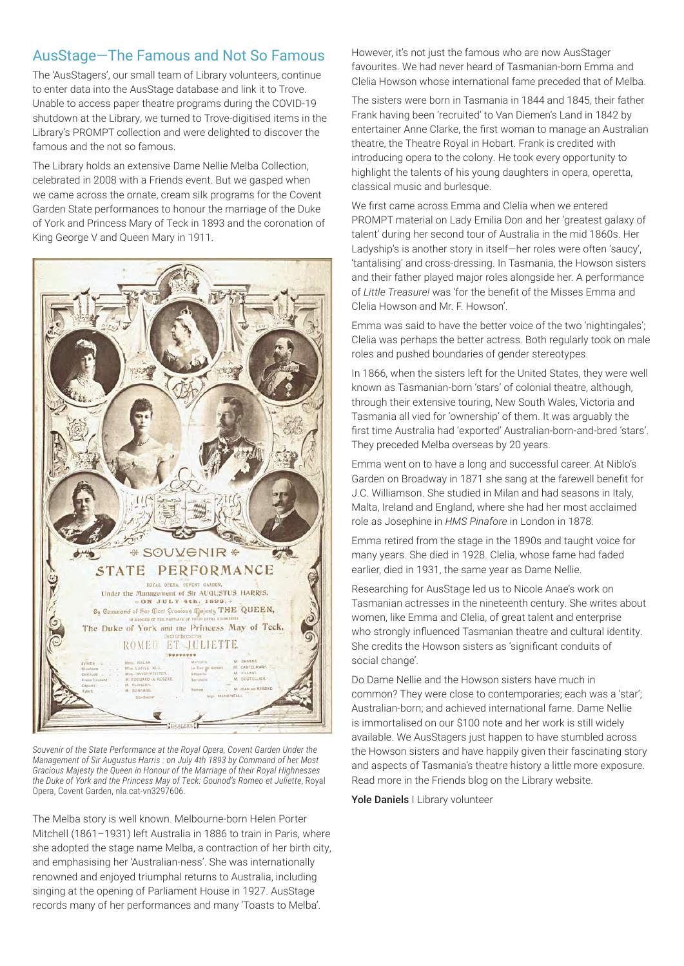# AusStage—The Famous and Not So Famous

The 'AusStagers', our small team of Library volunteers, continue to enter data into the AusStage database and link it to Trove. Unable to access paper theatre programs during the COVID-19 shutdown at the Library, we turned to Trove-digitised items in the Library's PROMPT collection and were delighted to discover the famous and the not so famous.

The Library holds an extensive Dame Nellie Melba Collection, celebrated in 2008 with a Friends event. But we gasped when we came across the ornate, cream silk programs for the Covent Garden State performances to honour the marriage of the Duke of York and Princess Mary of Teck in 1893 and the coronation of King George V and Queen Mary in 1911.



*Souvenir of the State Performance at the Royal Opera, Covent Garden Under the Management of Sir Augustus Harris : on July 4th 1893 by Command of her Most Gracious Majesty the Queen in Honour of the Marriage of their Royal Highnesses the Duke of York and the Princess May of Teck: Gounod's Romeo et Juliette*, Royal Opera, Covent Garden, nla.cat-vn3297606.

The Melba story is well known. Melbourne-born Helen Porter Mitchell (1861–1931) left Australia in 1886 to train in Paris, where she adopted the stage name Melba, a contraction of her birth city, and emphasising her 'Australian-ness'. She was internationally renowned and enjoyed triumphal returns to Australia, including singing at the opening of Parliament House in 1927. AusStage records many of her performances and many 'Toasts to Melba'.

However, it's not just the famous who are now AusStager favourites. We had never heard of Tasmanian-born Emma and Clelia Howson whose international fame preceded that of Melba.

The sisters were born in Tasmania in 1844 and 1845, their father Frank having been 'recruited' to Van Diemen's Land in 1842 by entertainer Anne Clarke, the first woman to manage an Australian theatre, the Theatre Royal in Hobart. Frank is credited with introducing opera to the colony. He took every opportunity to highlight the talents of his young daughters in opera, operetta, classical music and burlesque.

We first came across Emma and Clelia when we entered PROMPT material on Lady Emilia Don and her 'greatest galaxy of talent' during her second tour of Australia in the mid 1860s. Her Ladyship's is another story in itself—her roles were often 'saucy', 'tantalising' and cross-dressing. In Tasmania, the Howson sisters and their father played major roles alongside her. A performance of *Little Treasure!* was 'for the benefit of the Misses Emma and Clelia Howson and Mr. F. Howson'.

Emma was said to have the better voice of the two 'nightingales': Clelia was perhaps the better actress. Both regularly took on male roles and pushed boundaries of gender stereotypes.

In 1866, when the sisters left for the United States, they were well known as Tasmanian-born 'stars' of colonial theatre, although, through their extensive touring, New South Wales, Victoria and Tasmania all vied for 'ownership' of them. It was arguably the first time Australia had 'exported' Australian-born-and-bred 'stars'. They preceded Melba overseas by 20 years.

Emma went on to have a long and successful career. At Niblo's Garden on Broadway in 1871 she sang at the farewell benefit for J.C. Williamson. She studied in Milan and had seasons in Italy, Malta, Ireland and England, where she had her most acclaimed role as Josephine in *HMS Pinafore* in London in 1878.

Emma retired from the stage in the 1890s and taught voice for many years. She died in 1928. Clelia, whose fame had faded earlier, died in 1931, the same year as Dame Nellie.

Researching for AusStage led us to Nicole Anae's work on Tasmanian actresses in the nineteenth century. She writes about women, like Emma and Clelia, of great talent and enterprise who strongly influenced Tasmanian theatre and cultural identity. She credits the Howson sisters as 'significant conduits of social change'.

Do Dame Nellie and the Howson sisters have much in common? They were close to contemporaries; each was a 'star'; Australian-born; and achieved international fame. Dame Nellie is immortalised on our \$100 note and her work is still widely available. We AusStagers just happen to have stumbled across the Howson sisters and have happily given their fascinating story and aspects of Tasmania's theatre history a little more exposure. Read more in the Friends blog on the Library website.

Yole Daniels | Library volunteer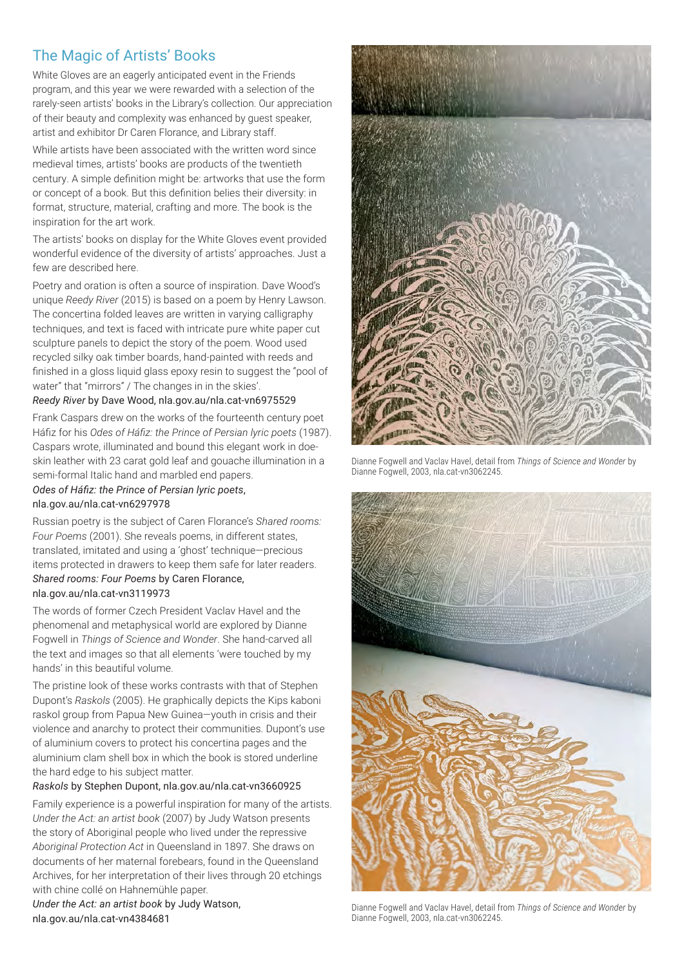# The Magic of Artists' Books

White Gloves are an eagerly anticipated event in the Friends program, and this year we were rewarded with a selection of the rarely-seen artists' books in the Library's collection. Our appreciation of their beauty and complexity was enhanced by guest speaker, artist and exhibitor Dr Caren Florance, and Library staff.

While artists have been associated with the written word since medieval times, artists' books are products of the twentieth century. A simple definition might be: artworks that use the form or concept of a book. But this definition belies their diversity: in format, structure, material, crafting and more. The book is the inspiration for the art work.

The artists' books on display for the White Gloves event provided wonderful evidence of the diversity of artists' approaches. Just a few are described here.

Poetry and oration is often a source of inspiration. Dave Wood's unique *Reedy River* (2015) is based on a poem by Henry Lawson. The concertina folded leaves are written in varying calligraphy techniques, and text is faced with intricate pure white paper cut sculpture panels to depict the story of the poem. Wood used recycled silky oak timber boards, hand-painted with reeds and finished in a gloss liquid glass epoxy resin to suggest the "pool of water" that "mirrors" / The changes in in the skies'.

#### *Reedy River* by Dave Wood, nla.gov.au/nla.cat-vn6975529

Frank Caspars drew on the works of the fourteenth century poet Háfiz for his *Odes of Háfiz: the Prince of Persian lyric poets* (1987). Caspars wrote, illuminated and bound this elegant work in doeskin leather with 23 carat gold leaf and gouache illumination in a semi-formal Italic hand and marbled end papers.

#### *Odes of Háfiz: the Prince of Persian lyric poets*, nla.gov.au/nla.cat-vn6297978

Russian poetry is the subject of Caren Florance's *Shared rooms: Four Poems* (2001). She reveals poems, in different states, translated, imitated and using a 'ghost' technique—precious items protected in drawers to keep them safe for later readers. *Shared rooms: Four Poems* by Caren Florance, nla.gov.au/nla.cat-vn3119973

The words of former Czech President Vaclav Havel and the phenomenal and metaphysical world are explored by Dianne Fogwell in *Things of Science and Wonder*. She hand-carved all the text and images so that all elements 'were touched by my hands' in this beautiful volume.

The pristine look of these works contrasts with that of Stephen Dupont's *Raskols* (2005). He graphically depicts the Kips kaboni raskol group from Papua New Guinea—youth in crisis and their violence and anarchy to protect their communities. Dupont's use of aluminium covers to protect his concertina pages and the aluminium clam shell box in which the book is stored underline the hard edge to his subject matter.

## *Raskols* by Stephen Dupont, nla.gov.au/nla.cat-vn3660925

Family experience is a powerful inspiration for many of the artists. *Under the Act: an artist book* (2007) by Judy Watson presents the story of Aboriginal people who lived under the repressive *Aboriginal Protection Act* in Queensland in 1897. She draws on documents of her maternal forebears, found in the Queensland Archives, for her interpretation of their lives through 20 etchings with chine collé on Hahnemühle paper.

*Under the Act: an artist book* by Judy Watson, nla.gov.au/nla.cat-vn4384681



Dianne Fogwell and Vaclav Havel, detail from *Things of Science and Wonder* by Dianne Fogwell, 2003, nla.cat-vn3062245.



Dianne Fogwell and Vaclav Havel, detail from *Things of Science and Wonder* by Dianne Fogwell, 2003, nla.cat-vn3062245.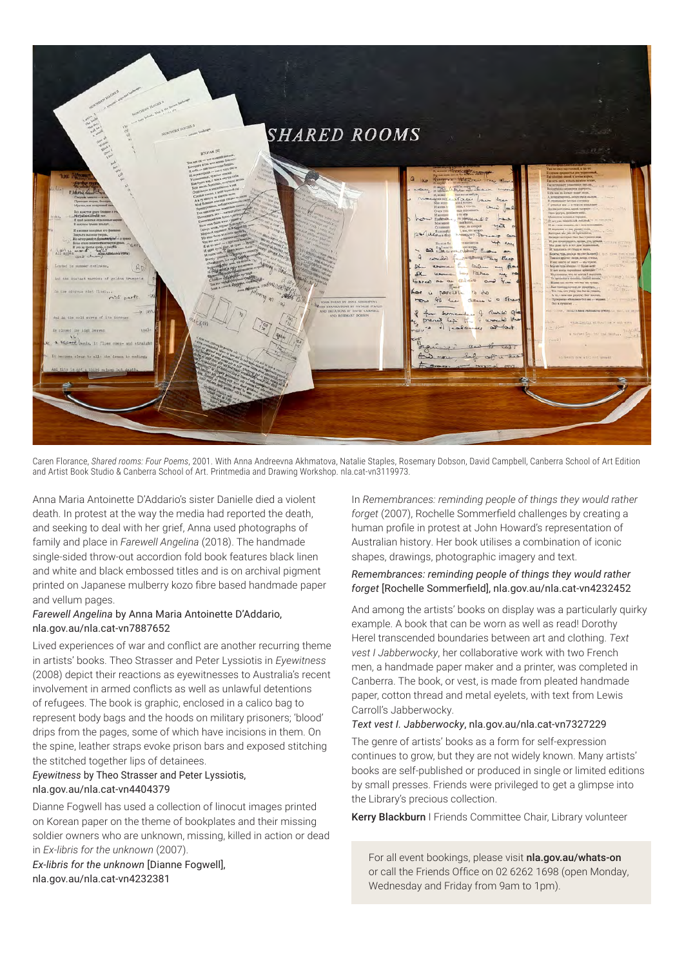

Caren Florance, *Shared rooms: Four Poems*, 2001. With Anna Andreevna Akhmatova, Natalie Staples, Rosemary Dobson, David Campbell, Canberra School of Art Edition and Artist Book Studio & Canberra School of Art. Printmedia and Drawing Workshop. nla.cat-vn3119973.

Anna Maria Antoinette D'Addario's sister Danielle died a violent death. In protest at the way the media had reported the death, and seeking to deal with her grief, Anna used photographs of family and place in *Farewell Angelina* (2018). The handmade single-sided throw-out accordion fold book features black linen and white and black embossed titles and is on archival pigment printed on Japanese mulberry kozo fibre based handmade paper and vellum pages.

#### *Farewell Angelina* by Anna Maria Antoinette D'Addario, nla.gov.au/nla.cat-vn7887652

Lived experiences of war and conflict are another recurring theme in artists' books. Theo Strasser and Peter Lyssiotis in *Eyewitness* (2008) depict their reactions as eyewitnesses to Australia's recent involvement in armed conflicts as well as unlawful detentions of refugees. The book is graphic, enclosed in a calico bag to represent body bags and the hoods on military prisoners; 'blood' drips from the pages, some of which have incisions in them. On the spine, leather straps evoke prison bars and exposed stitching the stitched together lips of detainees.

#### *Eyewitness* by Theo Strasser and Peter Lyssiotis, nla.gov.au/nla.cat-vn4404379

Dianne Fogwell has used a collection of linocut images printed on Korean paper on the theme of bookplates and their missing soldier owners who are unknown, missing, killed in action or dead in *Ex-libris for the unknown* (2007).

*Ex-libris for the unknown* [Dianne Fogwell], nla.gov.au/nla.cat-vn4232381

In *Remembrances: reminding people of things they would rather forget* (2007), Rochelle Sommerfield challenges by creating a human profile in protest at John Howard's representation of Australian history. Her book utilises a combination of iconic shapes, drawings, photographic imagery and text.

#### *Remembrances: reminding people of things they would rather forget* [Rochelle Sommerfield], nla.gov.au/nla.cat-vn4232452

And among the artists' books on display was a particularly quirky example. A book that can be worn as well as read! Dorothy Herel transcended boundaries between art and clothing. *Text vest I Jabberwocky*, her collaborative work with two French men, a handmade paper maker and a printer, was completed in Canberra. The book, or vest, is made from pleated handmade paper, cotton thread and metal eyelets, with text from Lewis Carroll's Jabberwocky.

#### *Text vest I. Jabberwocky*, nla.gov.au/nla.cat-vn7327229

The genre of artists' books as a form for self-expression continues to grow, but they are not widely known. Many artists' books are self-published or produced in single or limited editions by small presses. Friends were privileged to get a glimpse into the Library's precious collection.

Kerry Blackburn I Friends Committee Chair, Library volunteer

For all event bookings, please visit nla.gov.au/whats-on or call the Friends Office on 02 6262 1698 (open Monday, Wednesday and Friday from 9am to 1pm).